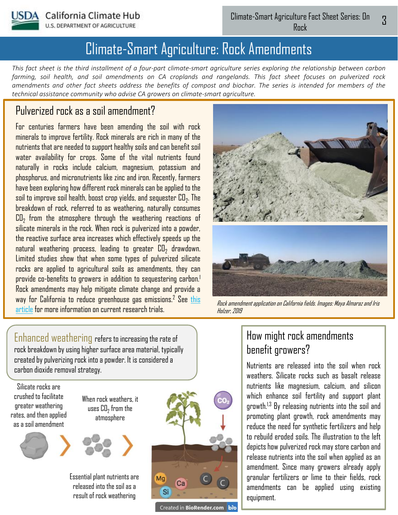

U.S. DEPARTMENT OF AGRICULTURE

# Climate-Smart Agriculture: Rock Amendments

*This fact sheet is the third installment of a four-part climate-smart agriculture series exploring the relationship between carbon farming, soil health, and soil amendments on CA croplands and rangelands. This fact sheet focuses on pulverized rock amendments and other fact sheets address the benefits of compost and biochar. The series is intended for members of the technical assistance community who advise CA growers on climate-smart agriculture.* 

# Pulverized rock as a soil amendment?

For centuries farmers have been amending the soil with rock minerals to improve fertility. Rock minerals are rich in many of the nutrients that are needed to support healthy soils and can benefit soil water availability for crops. Some of the vital nutrients found naturally in rocks include calcium, magnesium, potassium and phosphorus, and micronutrients like zinc and iron. Recently, farmers have been exploring how different rock minerals can be applied to the soil to improve soil health, boost crop yields, and sequester  $\mathtt{CD}_2.$  The breakdown of rock, referred to as weathering, naturally consumes  $\mathtt{CD}_2$  from the atmosphere through the weathering reactions of silicate minerals in the rock. When rock is pulverized into a powder, the reactive surface area increases which effectively speeds up the natural weathering process, leading to greater  $\mathtt{CD}_2$  drawdown. Limited studies show that when some types of pulverized silicate rocks are applied to agricultural soils as amendments, they can provide co-benefits to growers in addition to sequestering carbon.<sup>1</sup> Rock amendments may help mitigate climate change and provide a [way for California to reduce greenhouse gas emissions.](https://www.mic.com/p/scientists-want-to-fight-climate-change-with-rocks-29529509)<sup>2</sup> See this article for more information on current research trials.



Rock amendment application on California fields. Images: Maya Almaraz and Iris Holzer, 2019

Enhanced weathering refers to increasing the rate of rock breakdown by using higher surface area material, typically created by pulverizing rock into a powder. It is considered a carbon dioxide removal strategy.

Silicate rocks are crushed to facilitate greater weathering rates, and then applied as a soil amendment







Essential plant nutrients are released into the soil as a result of rock weathering



Created in BioRender.com bio

# How might rock amendments benefit growers?

Nutrients are released into the soil when rock weathers. Silicate rocks such as basalt release nutrients like magnesium, calcium, and silicon which enhance soil fertility and support plant growth.<sup>1,3</sup> By releasing nutrients into the soil and promoting plant growth, rock amendments may reduce the need for synthetic fertilizers and help to rebuild eroded soils. The illustration to the left depicts how pulverized rock may store carbon and release nutrients into the soil when applied as an amendment. Since many growers already apply granular fertilizers or lime to their fields, rock amendments can be applied using existing equipment.